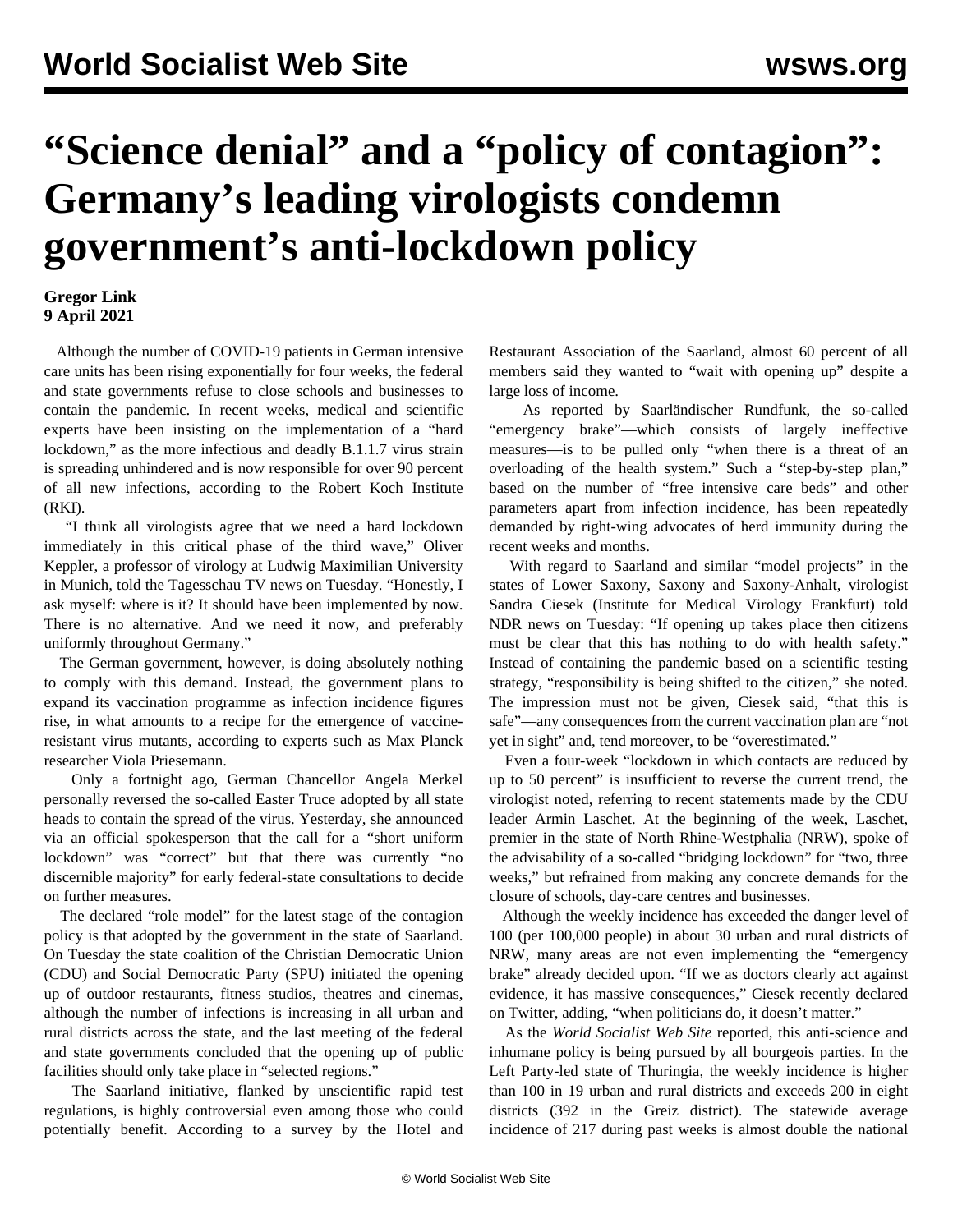## **"Science denial" and a "policy of contagion": Germany's leading virologists condemn government's anti-lockdown policy**

## **Gregor Link 9 April 2021**

 Although the number of COVID-19 patients in German intensive care units has been rising exponentially for four weeks, the federal and state governments refuse to close schools and businesses to contain the pandemic. In recent weeks, medical and scientific experts have been insisting on the implementation of a "hard lockdown," as the more infectious and deadly B.1.1.7 virus strain is spreading unhindered and is now responsible for over 90 percent of all new infections, according to the Robert Koch Institute (RKI).

 "I think all virologists agree that we need a hard lockdown immediately in this critical phase of the third wave," Oliver Keppler, a professor of virology at Ludwig Maximilian University in Munich, told the Tagesschau TV news on Tuesday. "Honestly, I ask myself: where is it? It should have been implemented by now. There is no alternative. And we need it now, and preferably uniformly throughout Germany."

 The German government, however, is doing absolutely nothing to comply with this demand. Instead, the government plans to expand its vaccination programme as infection incidence figures rise, in what amounts to a recipe for the emergence of vaccineresistant virus mutants, according to experts such as Max Planck researcher Viola Priesemann.

 Only a fortnight ago, German Chancellor Angela Merkel personally reversed the so-called Easter Truce adopted by all state heads to contain the spread of the virus. Yesterday, she announced via an official spokesperson that the call for a "short uniform lockdown" was "correct" but that there was currently "no discernible majority" for early federal-state consultations to decide on further measures.

 The declared "role model" for the latest stage of the contagion policy is that adopted by the government in the state of Saarland. On Tuesday the state coalition of the Christian Democratic Union (CDU) and Social Democratic Party (SPU) initiated the opening up of outdoor restaurants, fitness studios, theatres and cinemas, although the number of infections is increasing in all urban and rural districts across the state, and the last meeting of the federal and state governments concluded that the opening up of public facilities should only take place in "selected regions."

 The Saarland initiative, flanked by unscientific rapid test regulations, is highly controversial even among those who could potentially benefit. According to a survey by the Hotel and Restaurant Association of the Saarland, almost 60 percent of all members said they wanted to "wait with opening up" despite a large loss of income.

 As reported by Saarländischer Rundfunk, the so-called "emergency brake"—which consists of largely ineffective measures—is to be pulled only "when there is a threat of an overloading of the health system." Such a "step-by-step plan," based on the number of "free intensive care beds" and other parameters apart from infection incidence, has been repeatedly demanded by right-wing advocates of herd immunity during the recent weeks and months.

 With regard to Saarland and similar "model projects" in the states of Lower Saxony, Saxony and Saxony-Anhalt, virologist Sandra Ciesek (Institute for Medical Virology Frankfurt) told NDR news on Tuesday: "If opening up takes place then citizens must be clear that this has nothing to do with health safety." Instead of containing the pandemic based on a scientific testing strategy, "responsibility is being shifted to the citizen," she noted. The impression must not be given, Ciesek said, "that this is safe"—any consequences from the current vaccination plan are "not yet in sight" and, tend moreover, to be "overestimated."

 Even a four-week "lockdown in which contacts are reduced by up to 50 percent" is insufficient to reverse the current trend, the virologist noted, referring to recent statements made by the CDU leader Armin Laschet. At the beginning of the week, Laschet, premier in the state of North Rhine-Westphalia (NRW), spoke of the advisability of a so-called "bridging lockdown" for "two, three weeks," but refrained from making any concrete demands for the closure of schools, day-care centres and businesses.

 Although the weekly incidence has exceeded the danger level of 100 (per 100,000 people) in about 30 urban and rural districts of NRW, many areas are not even implementing the "emergency brake" already decided upon. "If we as doctors clearly act against evidence, it has massive consequences," Ciesek recently declared on Twitter, adding, "when politicians do, it doesn't matter."

 As the *World Socialist Web Site* reported, this anti-science and inhumane policy is being pursued by all bourgeois parties. In the Left Party-led state of Thuringia, the weekly incidence is higher than 100 in 19 urban and rural districts and exceeds 200 in eight districts (392 in the Greiz district). The statewide average incidence of 217 during past weeks is almost double the national